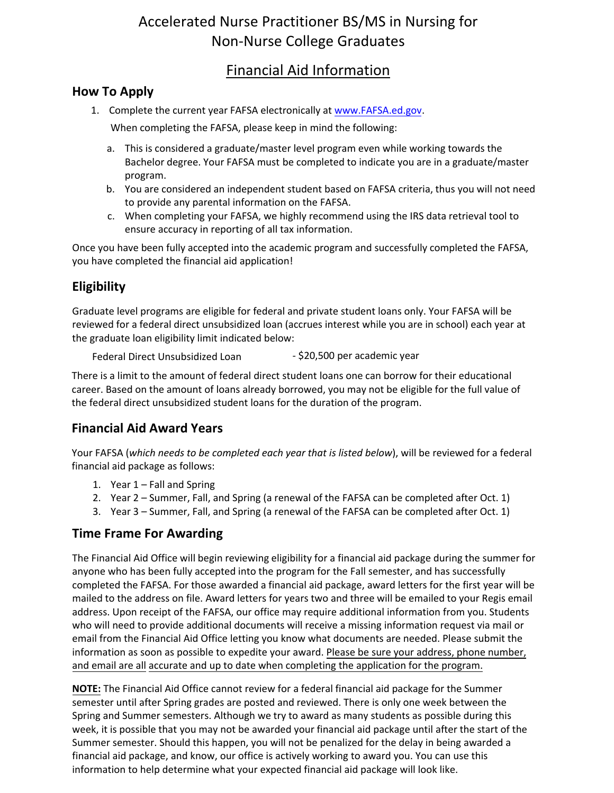# Accelerated Nurse Practitioner BS/MS in Nursing for Non-Nurse College Graduates

# Financial Aid Information

#### **How To Apply**

1. Complete the current year FAFSA electronically at www.FAFSA.ed.gov.

When completing the FAFSA, please keep in min[d the following:](http://www.fafsa.ed.gov/) 

- a. This is considered a graduate/master level program even while working towards the Bachelor degree. Your FAFSA must be completed to indicate you are in a graduate/master program.
- b. You are considered an independent student based on FAFSA criteria, thus you will not need to provide any parental information on the FAFSA.
- c. When completing your FAFSA, we highly recommend using the IRS data retrieval tool to ensure accuracy in reporting of all tax information.

Once you have been fully accepted into the academic program and successfully completed the FAFSA, you have completed the financial aid application!

## **Eligibility**

Graduate level programs are eligible for federal and private student loans only. Your FAFSA will be reviewed for a federal direct unsubsidized loan (accrues interest while you are in school) each year at the graduate loan eligibility limit indicated below:

```
Federal Direct Unsubsidized Loan - $20,500 per academic year
```
There is a limit to the amount of federal direct student loans one can borrow for their educational career. Based on the amount of loans already borrowed, you may not be eligible for the full value of the federal direct unsubsidized student loans for the duration of the program.

#### **Financial Aid Award Years**

Your FAFSA (*which needs to be completed each year that is listed below*), will be reviewed for a federal financial aid package as follows:

- 1. Year 1 Fall and Spring
- 2. Year 2 Summer, Fall, and Spring (a renewal of the FAFSA can be completed after Oct. 1)
- 3. Year 3 Summer, Fall, and Spring (a renewal of the FAFSA can be completed after Oct. 1)

#### **Time Frame For Awarding**

The Financial Aid Office will begin reviewing eligibility for a financial aid package during the summer for anyone who has been fully accepted into the program for the Fall semester, and has successfully completed the FAFSA. For those awarded a financial aid package, award letters for the first year will be mailed to the address on file. Award letters for years two and three will be emailed to your Regis email address. Upon receipt of the FAFSA, our office may require additional information from you. Students who will need to provide additional documents will receive a missing information request via mail or email from the Financial Aid Office letting you know what documents are needed. Please submit the information as soon as possible to expedite your award. Please be sure your address, phone number, and email are all accurate and up to date when completing the application for the program.

**NOTE:** The Financial Aid Office cannot review for a federal financial aid package for the Summer semester until after Spring grades are posted and reviewed. There is only one week between the Spring and Summer semesters. Although we try to award as many students as possible during this week, it is possible that you may not be awarded your financial aid package until after the start of the Summer semester. Should this happen, you will not be penalized for the delay in being awarded a financial aid package, and know, our office is actively working to award you. You can use this information to help determine what your expected financial aid package will look like.